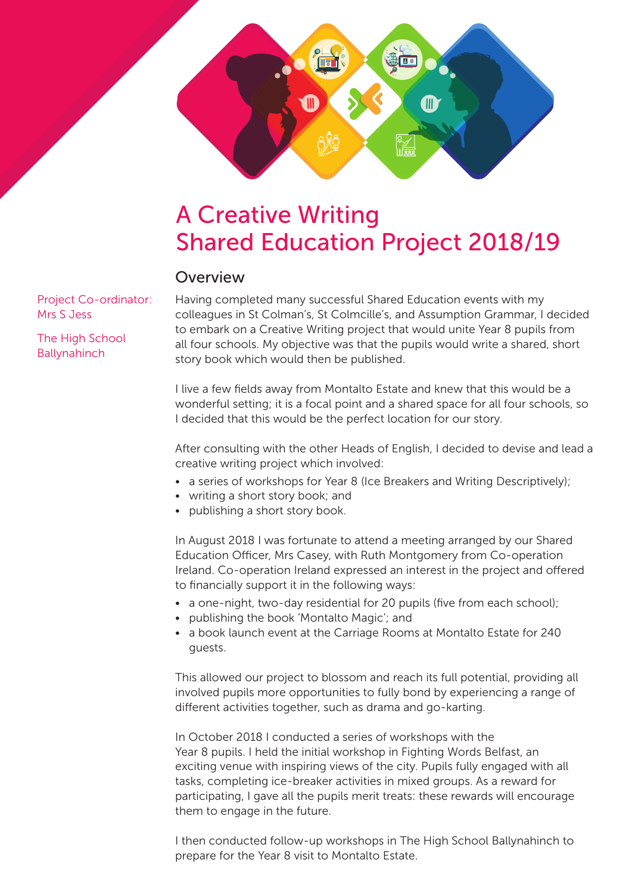

#### Overview

Project Co-ordinator: Mrs S Jess

The High School Ballynahinch

Having completed many successful Shared Education events with my colleagues in St Colman's, St Colmcille's, and Assumption Grammar, I decided to embark on a Creative Writing project that would unite Year 8 pupils from all four schools. My objective was that the pupils would write a shared, short story book which would then be published.

I live a few fields away from Montalto Estate and knew that this would be a wonderful setting; it is a focal point and a shared space for all four schools, so I decided that this would be the perfect location for our story.

After consulting with the other Heads of English, I decided to devise and lead a creative writing project which involved:

- a series of workshops for Year 8 (Ice Breakers and Writing Descriptively);
- writing a short story book; and
- publishing a short story book.

In August 2018 I was fortunate to attend a meeting arranged by our Shared Education Officer, Mrs Casey, with Ruth Montgomery from Co-operation Ireland. Co-operation Ireland expressed an interest in the project and offered to financially support it in the following ways:

- a one-night, two-day residential for 20 pupils (five from each school);
- publishing the book 'Montalto Magic'; and
- a book launch event at the Carriage Rooms at Montalto Estate for 240 guests.

This allowed our project to blossom and reach its full potential, providing all involved pupils more opportunities to fully bond by experiencing a range of different activities together, such as drama and go-karting.

In October 2018 I conducted a series of workshops with the Year 8 pupils. I held the initial workshop in Fighting Words Belfast, an exciting venue with inspiring views of the city. Pupils fully engaged with all tasks, completing ice-breaker activities in mixed groups. As a reward for participating, I gave all the pupils merit treats: these rewards will encourage them to engage in the future.

I then conducted follow-up workshops in The High School Ballynahinch to prepare for the Year 8 visit to Montalto Estate.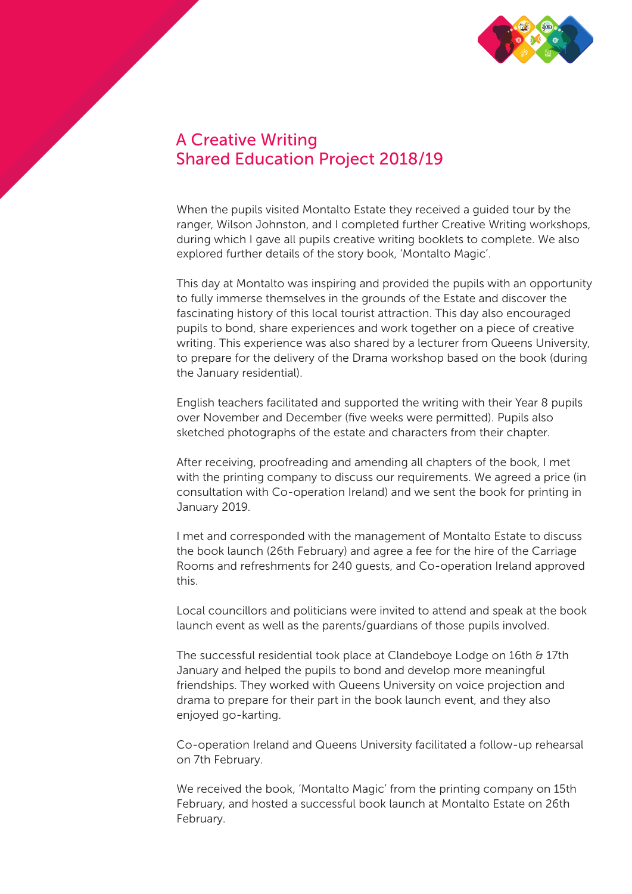

### A Creative Writing Shared Education Project 2018/19

When the pupils visited Montalto Estate they received a guided tour by the ranger, Wilson Johnston, and I completed further Creative Writing workshops, during which I gave all pupils creative writing booklets to complete. We also explored further details of the story book, 'Montalto Magic'.

This day at Montalto was inspiring and provided the pupils with an opportunity to fully immerse themselves in the grounds of the Estate and discover the fascinating history of this local tourist attraction. This day also encouraged pupils to bond, share experiences and work together on a piece of creative writing. This experience was also shared by a lecturer from Queens University, to prepare for the delivery of the Drama workshop based on the book (during the January residential).

English teachers facilitated and supported the writing with their Year 8 pupils over November and December (five weeks were permitted). Pupils also sketched photographs of the estate and characters from their chapter.

After receiving, proofreading and amending all chapters of the book, I met with the printing company to discuss our requirements. We agreed a price (in consultation with Co-operation Ireland) and we sent the book for printing in January 2019.

I met and corresponded with the management of Montalto Estate to discuss the book launch (26th February) and agree a fee for the hire of the Carriage Rooms and refreshments for 240 guests, and Co-operation Ireland approved this.

Local councillors and politicians were invited to attend and speak at the book launch event as well as the parents/guardians of those pupils involved.

The successful residential took place at Clandeboye Lodge on 16th & 17th January and helped the pupils to bond and develop more meaningful friendships. They worked with Queens University on voice projection and drama to prepare for their part in the book launch event, and they also enjoyed go-karting.

Co-operation Ireland and Queens University facilitated a follow-up rehearsal on 7th February.

We received the book, 'Montalto Magic' from the printing company on 15th February, and hosted a successful book launch at Montalto Estate on 26th February.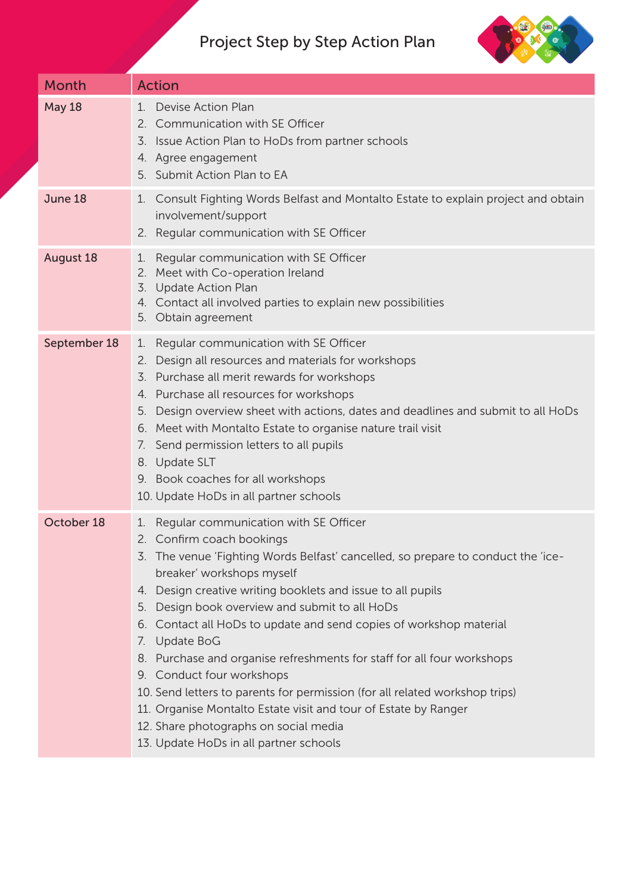# Project Step by Step Action Plan



| <b>Month</b>     | <b>Action</b>                                                                                                                                                                                                                                                                                                                                                                                                                                                                                                                                                                                                                                                                                                                                 |
|------------------|-----------------------------------------------------------------------------------------------------------------------------------------------------------------------------------------------------------------------------------------------------------------------------------------------------------------------------------------------------------------------------------------------------------------------------------------------------------------------------------------------------------------------------------------------------------------------------------------------------------------------------------------------------------------------------------------------------------------------------------------------|
| <b>May 18</b>    | Devise Action Plan<br>$1_{-}$<br>2. Communication with SE Officer<br>3. Issue Action Plan to HoDs from partner schools<br>4. Agree engagement<br>5. Submit Action Plan to EA                                                                                                                                                                                                                                                                                                                                                                                                                                                                                                                                                                  |
| June 18          | Consult Fighting Words Belfast and Montalto Estate to explain project and obtain<br>1.<br>involvement/support<br>2. Regular communication with SE Officer                                                                                                                                                                                                                                                                                                                                                                                                                                                                                                                                                                                     |
| <b>August 18</b> | Regular communication with SE Officer<br>1.<br>2. Meet with Co-operation Ireland<br>3.<br>Update Action Plan<br>4. Contact all involved parties to explain new possibilities<br>5. Obtain agreement                                                                                                                                                                                                                                                                                                                                                                                                                                                                                                                                           |
| September 18     | Regular communication with SE Officer<br>1.<br>Design all resources and materials for workshops<br>2.<br>Purchase all merit rewards for workshops<br>3.<br>4. Purchase all resources for workshops<br>5. Design overview sheet with actions, dates and deadlines and submit to all HoDs<br>6. Meet with Montalto Estate to organise nature trail visit<br>7. Send permission letters to all pupils<br>8. Update SLT<br>9. Book coaches for all workshops<br>10. Update HoDs in all partner schools                                                                                                                                                                                                                                            |
| October 18       | Regular communication with SE Officer<br>1.<br>2. Confirm coach bookings<br>3. The venue 'Fighting Words Belfast' cancelled, so prepare to conduct the 'ice-<br>breaker' workshops myself<br>4. Design creative writing booklets and issue to all pupils<br>5. Design book overview and submit to all HoDs<br>6. Contact all HoDs to update and send copies of workshop material<br>7. Update BoG<br>8. Purchase and organise refreshments for staff for all four workshops<br>9. Conduct four workshops<br>10. Send letters to parents for permission (for all related workshop trips)<br>11. Organise Montalto Estate visit and tour of Estate by Ranger<br>12. Share photographs on social media<br>13. Update HoDs in all partner schools |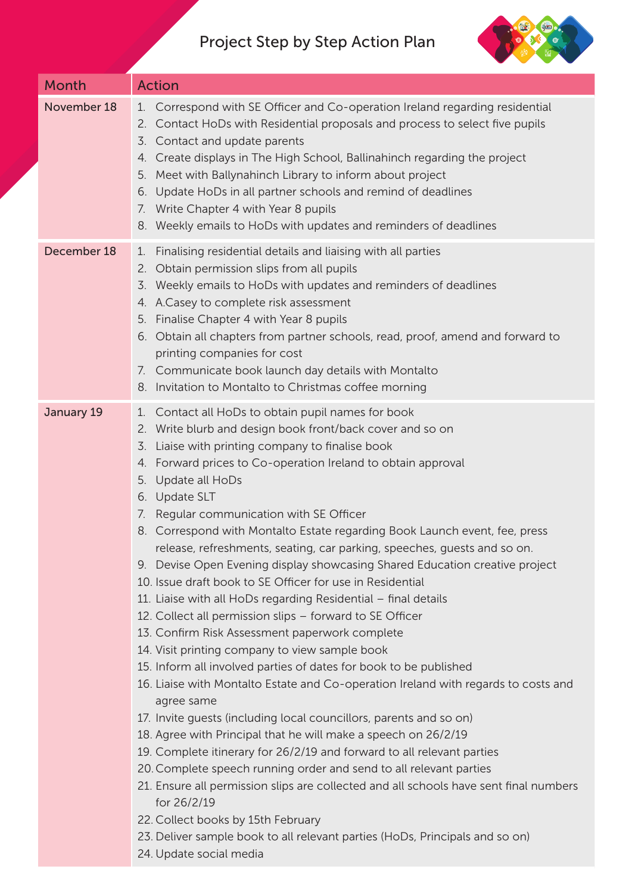# Project Step by Step Action Plan



| Month       | <b>Action</b>                                                                                                                                                                                                                                                                                                                                                                                                                                                                                                                                                                                                                                                                                                                                                                                                                                                                                                                                                                                                                                                                                                                                                                                                                                                                                                                                                                                                                                                                                                                                                                                           |
|-------------|---------------------------------------------------------------------------------------------------------------------------------------------------------------------------------------------------------------------------------------------------------------------------------------------------------------------------------------------------------------------------------------------------------------------------------------------------------------------------------------------------------------------------------------------------------------------------------------------------------------------------------------------------------------------------------------------------------------------------------------------------------------------------------------------------------------------------------------------------------------------------------------------------------------------------------------------------------------------------------------------------------------------------------------------------------------------------------------------------------------------------------------------------------------------------------------------------------------------------------------------------------------------------------------------------------------------------------------------------------------------------------------------------------------------------------------------------------------------------------------------------------------------------------------------------------------------------------------------------------|
| November 18 | Correspond with SE Officer and Co-operation Ireland regarding residential<br>1.<br>Contact HoDs with Residential proposals and process to select five pupils<br>2.<br>Contact and update parents<br>3.<br>Create displays in The High School, Ballinahinch regarding the project<br>4.<br>Meet with Ballynahinch Library to inform about project<br>5.<br>Update HoDs in all partner schools and remind of deadlines<br>6.<br>Write Chapter 4 with Year 8 pupils<br>7.<br>8. Weekly emails to HoDs with updates and reminders of deadlines                                                                                                                                                                                                                                                                                                                                                                                                                                                                                                                                                                                                                                                                                                                                                                                                                                                                                                                                                                                                                                                              |
| December 18 | Finalising residential details and liaising with all parties<br>1.<br>2. Obtain permission slips from all pupils<br>Weekly emails to HoDs with updates and reminders of deadlines<br>3.<br>A.Casey to complete risk assessment<br>4.<br>Finalise Chapter 4 with Year 8 pupils<br>5.<br>Obtain all chapters from partner schools, read, proof, amend and forward to<br>6.<br>printing companies for cost<br>7. Communicate book launch day details with Montalto<br>8. Invitation to Montalto to Christmas coffee morning                                                                                                                                                                                                                                                                                                                                                                                                                                                                                                                                                                                                                                                                                                                                                                                                                                                                                                                                                                                                                                                                                |
| January 19  | Contact all HoDs to obtain pupil names for book<br>1.<br>2. Write blurb and design book front/back cover and so on<br>Liaise with printing company to finalise book<br>3.<br>Forward prices to Co-operation Ireland to obtain approval<br>4.<br>Update all HoDs<br>5.<br>6. Update SLT<br>Regular communication with SE Officer<br>7.<br>8. Correspond with Montalto Estate regarding Book Launch event, fee, press<br>release, refreshments, seating, car parking, speeches, guests and so on.<br>9. Devise Open Evening display showcasing Shared Education creative project<br>10. Issue draft book to SE Officer for use in Residential<br>11. Liaise with all HoDs regarding Residential - final details<br>12. Collect all permission slips - forward to SE Officer<br>13. Confirm Risk Assessment paperwork complete<br>14. Visit printing company to view sample book<br>15. Inform all involved parties of dates for book to be published<br>16. Liaise with Montalto Estate and Co-operation Ireland with regards to costs and<br>agree same<br>17. Invite guests (including local councillors, parents and so on)<br>18. Agree with Principal that he will make a speech on 26/2/19<br>19. Complete itinerary for 26/2/19 and forward to all relevant parties<br>20. Complete speech running order and send to all relevant parties<br>21. Ensure all permission slips are collected and all schools have sent final numbers<br>for 26/2/19<br>22. Collect books by 15th February<br>23. Deliver sample book to all relevant parties (HoDs, Principals and so on)<br>24. Update social media |